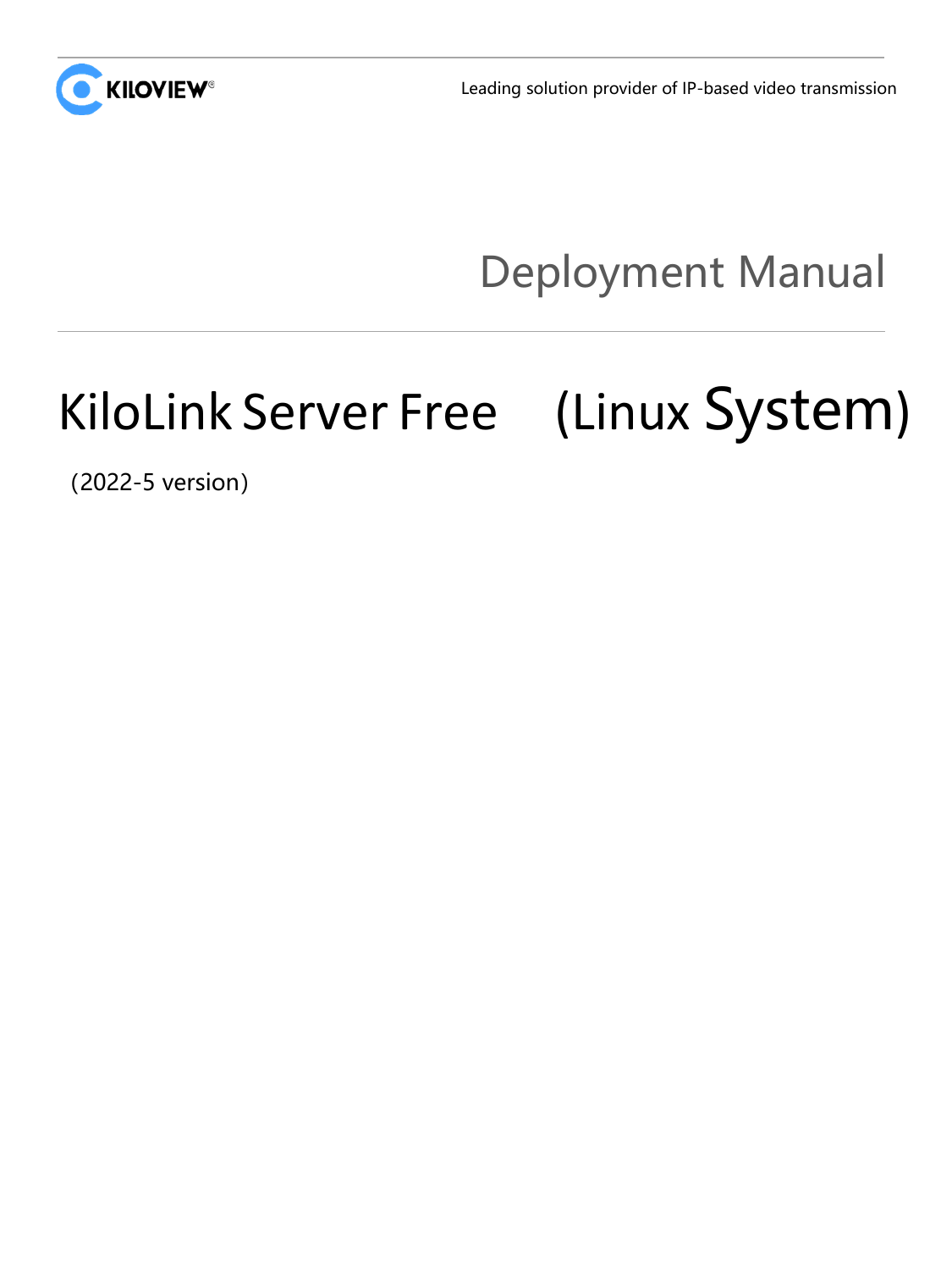

Leading solution provider of IP-based video transmission

## Deployment Manual

# KiloLink Server Free (Linux System)

(2022-5 version)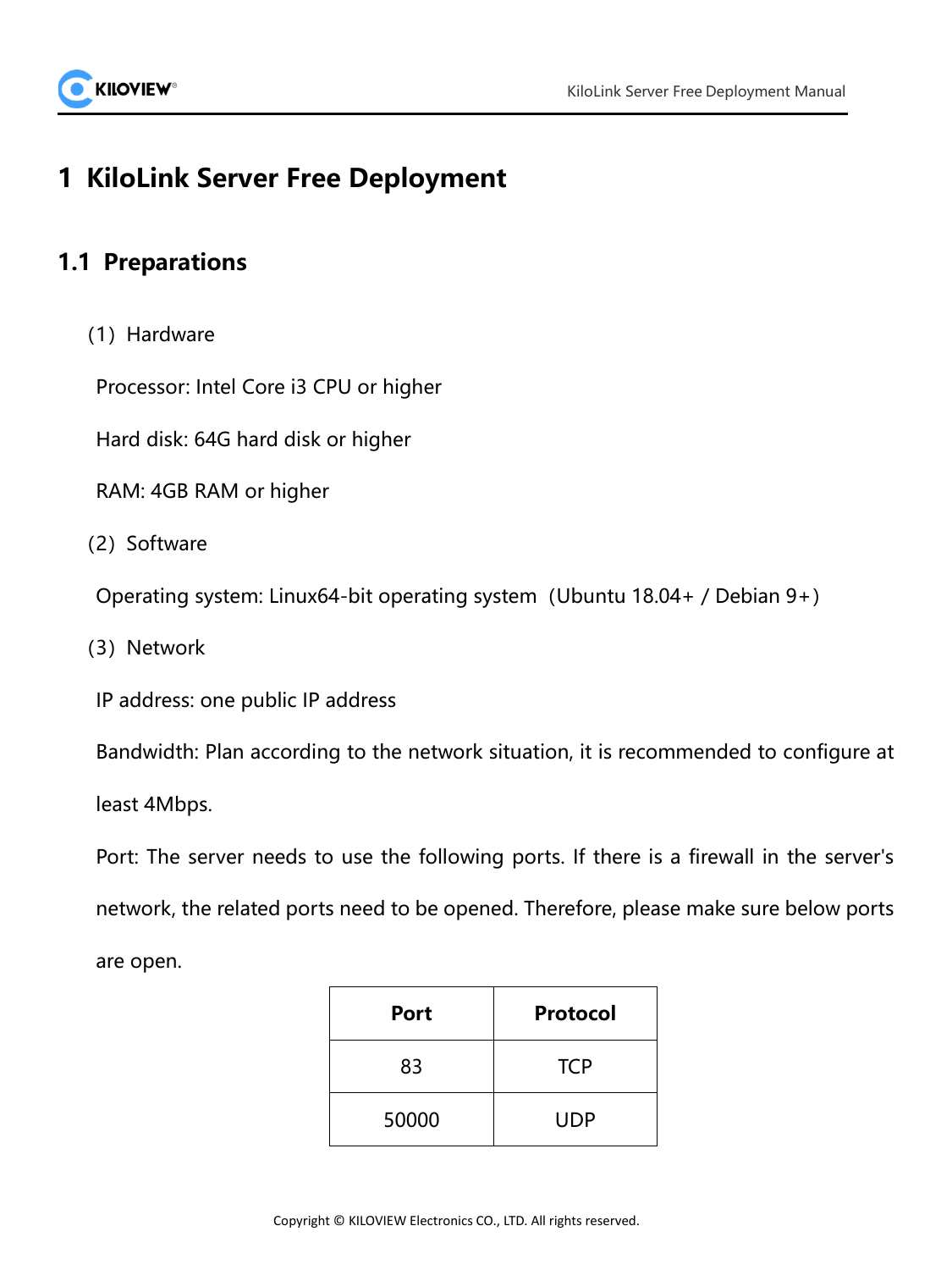

## **1 KiloLink Server Free Deployment**

## **1.1 Preparations**

(1) Hardware

Processor: Intel Core i3 CPU or higher

Hard disk: 64G hard disk or higher

RAM: 4GB RAM or higher

(2) Software

Operating system: Linux64-bit operating system(Ubuntu 18.04+ / Debian 9+)

(3) Network

IP address: one public IP address

Bandwidth: Plan according to the network situation, it is recommended to configure at

least 4Mbps.

Port: The server needs to use the following ports. If there is a firewall in the server's network, the related ports need to be opened. Therefore, please make sure below ports are open.

| <b>Port</b> | <b>Protocol</b> |
|-------------|-----------------|
| 83          | <b>TCP</b>      |
| 50000       | <b>UDP</b>      |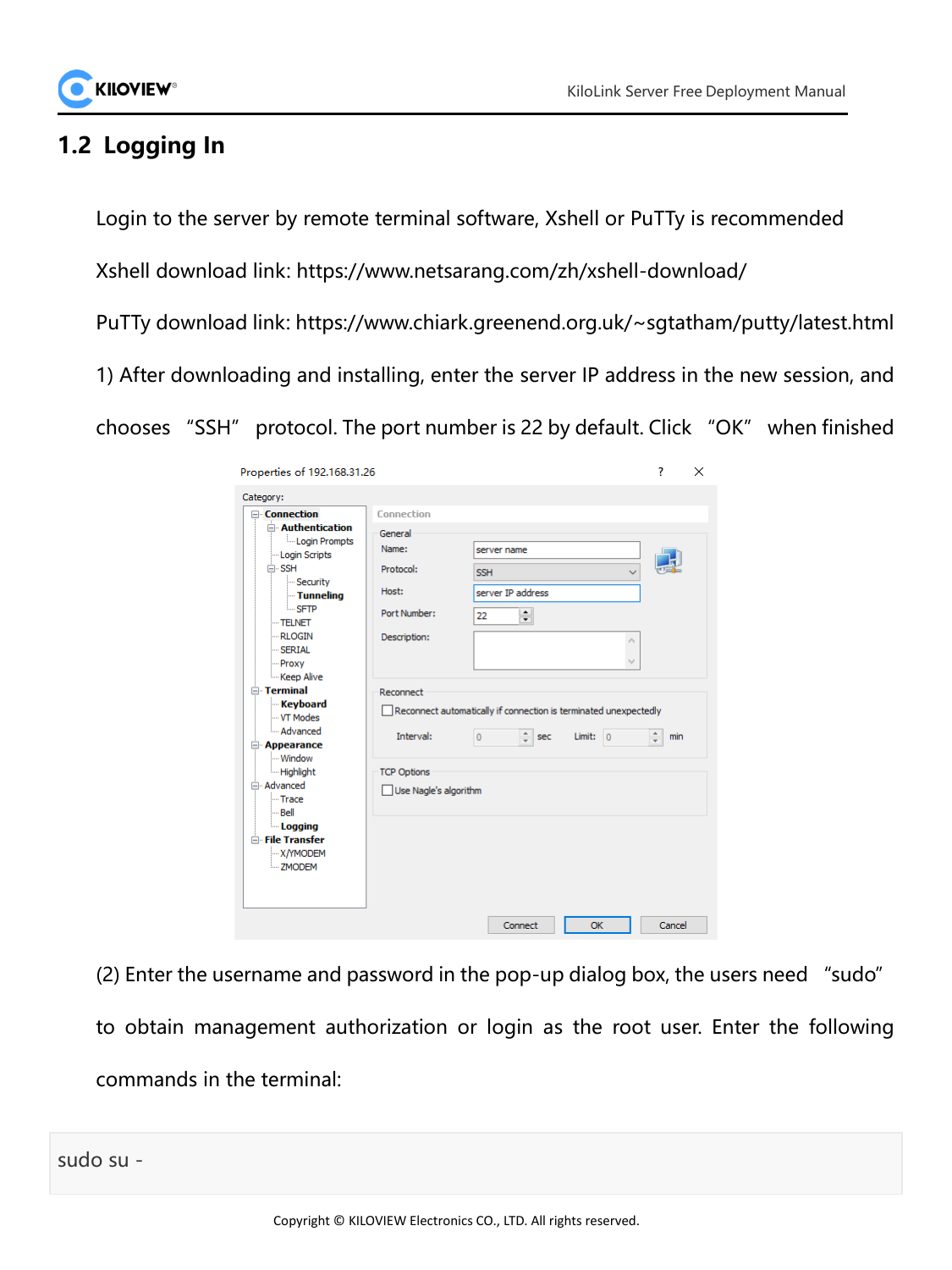

## **1.2 Logging In**

Login to the server by remote terminal software, Xshell or PuTTy is recommended

Xshell download link: <https://www.netsarang.com/zh/xshell-download/>

PuTTy download link: <https://www.chiark.greenend.org.uk/~sgtatham/putty/latest.html>

1) After downloading and installing, enter the server IP address in the new session, and

chooses "SSH" protocol. The port number is 22 by default. Click "OK" when finished

| Properties of 192.168.31.26                                                                                                                                                                                                                                                                                                                                                                                                        |                                                                                      |                                                                                                        |   | ?      | × |
|------------------------------------------------------------------------------------------------------------------------------------------------------------------------------------------------------------------------------------------------------------------------------------------------------------------------------------------------------------------------------------------------------------------------------------|--------------------------------------------------------------------------------------|--------------------------------------------------------------------------------------------------------|---|--------|---|
| Category:                                                                                                                                                                                                                                                                                                                                                                                                                          |                                                                                      |                                                                                                        |   |        |   |
| <b>□ Connection</b><br>$\Box$ Authentication<br>Login Prompts<br>Login Scripts<br>$\Box$ SSH<br>- Security<br><b>Tunneling</b><br><b>SFTP</b><br>$-TELNET$<br><b>RLOGIN</b><br>$-$ SERIAL<br>- Proxy<br>-Keep Alive<br>$\Box$ Terminal<br><b>Keyboard</b><br>- VT Modes<br>- Advanced<br>Appearance<br>- Window<br><b>Highlight</b><br><b>E</b> Advanced<br>- Trace<br>i Bell<br>Logging<br>File Transfer<br>-X/YMODEM<br>: ZMODEM | Connection<br>General<br>Name:<br>Protocol:<br>Host:<br>Port Number:<br>Description: | server name<br><b>SSH</b><br>server IP address<br>췌<br>22                                              | ۸ |        |   |
|                                                                                                                                                                                                                                                                                                                                                                                                                                    | Reconnect<br>Interval:<br><b>TCP Options</b><br>Use Nagle's algorithm                | Reconnect automatically if connection is terminated unexpectedly<br>÷<br>Limit: $ 0$<br>$\circ$<br>sec |   | min    |   |
|                                                                                                                                                                                                                                                                                                                                                                                                                                    |                                                                                      | Connect<br>OK                                                                                          |   | Cancel |   |

(2) Enter the username and password in the pop-up dialog box, the users need "sudo" to obtain management authorization or login as the root user. Enter the following commands in the terminal:

sudo su -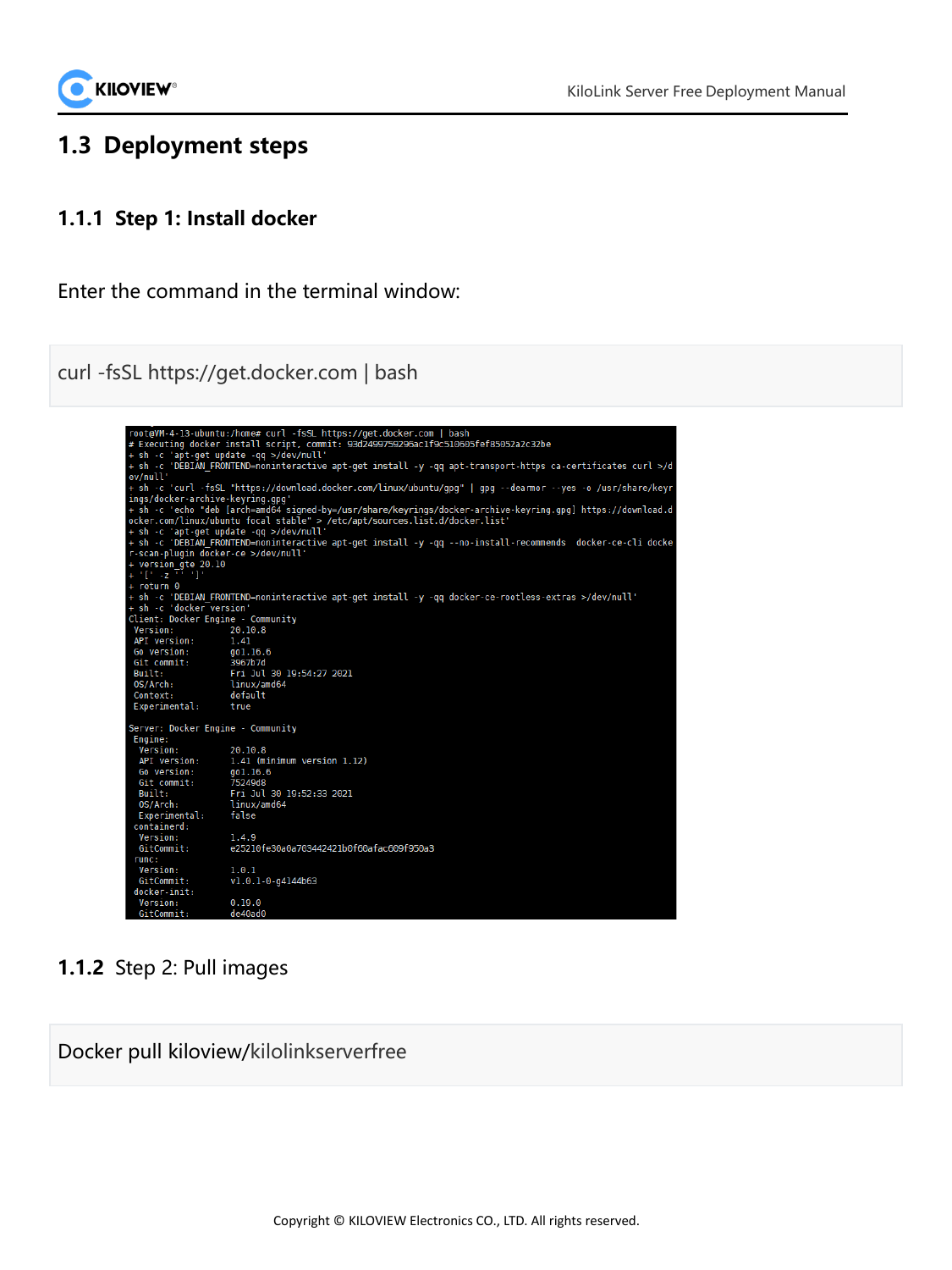## **1.3 Deployment steps**

### **1.1.1 Step 1: Install docker**

Enter the command in the terminal window:

curl -fsSL https://get.docker.com | bash

|                                         | root@VM-4-13-ubuntu:/home# curl -fsSL https://get.docker.com   bash                                         |
|-----------------------------------------|-------------------------------------------------------------------------------------------------------------|
|                                         | # Executing docker install script, commit: 93d2499759296ac1f9c510605fef85052a2c32be                         |
| + sh -c 'apt-get update -gg >/dev/null' |                                                                                                             |
|                                         | + sh -c 'DEBIAN FRONTEND=noninteractive apt-get install -y -qq apt-transport-https ca-certificates curl >/d |
| ev/null'                                |                                                                                                             |
|                                         | + sh -c 'curl -fsSL "https://download.docker.com/linux/ubuntu/qpq"   qpq --dearmor --yes -o /usr/share/keyr |
| ings/docker-archive-keyring.gpg'        |                                                                                                             |
|                                         | + sh -c 'echo "deb [arch=amd64 signed-by=/usr/share/keyrings/docker-archive-keyring.gpg] https://download.d |
|                                         | ocker.com/linux/ubuntu focal stable" > /etc/apt/sources.list.d/docker.list'                                 |
| + sh -c 'apt-get update -gg >/dev/null' |                                                                                                             |
|                                         | + sh -c 'DEBIAN FRONTEND=noninteractive apt-get install -y -qq --no-install-recommends docker-ce-cli docke  |
| r-scan-plugin docker-ce >/dev/null'     |                                                                                                             |
| + version gte 20.10                     |                                                                                                             |
| $+111 - 211111$                         |                                                                                                             |
| $+$ return $0$                          |                                                                                                             |
|                                         | + sh -c 'DEBIAN FRONTEND=noninteractive apt-get install -y -gg docker-ce-rootless-extras >/dev/null'        |
| + sh -c 'docker version'                |                                                                                                             |
| Client: Docker Engine - Community       |                                                                                                             |
| Version:                                | 20.10.8                                                                                                     |
| API version:                            | 1.41                                                                                                        |
| Go version:                             | gol.16.6                                                                                                    |
| Git commit:                             | 3967b7d                                                                                                     |
| Built:                                  | Fri Jul 30 19:54:27 2021                                                                                    |
| 0S/Arch:                                | linux/amd64                                                                                                 |
| Context:                                | default                                                                                                     |
| Experimental:                           | true                                                                                                        |
| Server: Docker Engine - Community       |                                                                                                             |
| Engine:                                 |                                                                                                             |
| Version:                                | 20.10.8                                                                                                     |
| API version:                            | 1.41 (minimum version 1.12)                                                                                 |
| Go version:                             | gol.16.6                                                                                                    |
| Git commit:                             | 75249d8                                                                                                     |
| Built:                                  | Fri Jul 30 19:52:33 2021                                                                                    |
| 0S/Arch:                                | linux/amd64                                                                                                 |
| Experimental:                           | false                                                                                                       |
| containerd:                             |                                                                                                             |
| Version:                                | 1.4.9                                                                                                       |
| GitCommit:                              | e25210fe30a0a703442421b0f60afac609f950a3                                                                    |
| runc:                                   |                                                                                                             |
| Version:                                | 1.0.1                                                                                                       |
| GitCommit:                              | $v1.0.1 - 0 - q4144b63$                                                                                     |
| docker-init:                            |                                                                                                             |
| Version:                                | 0.19.0                                                                                                      |
| GitCommit:                              | de40ad0                                                                                                     |

## **1.1.2** Step 2: Pull images

Docker pull kiloview/kilolinkserverfree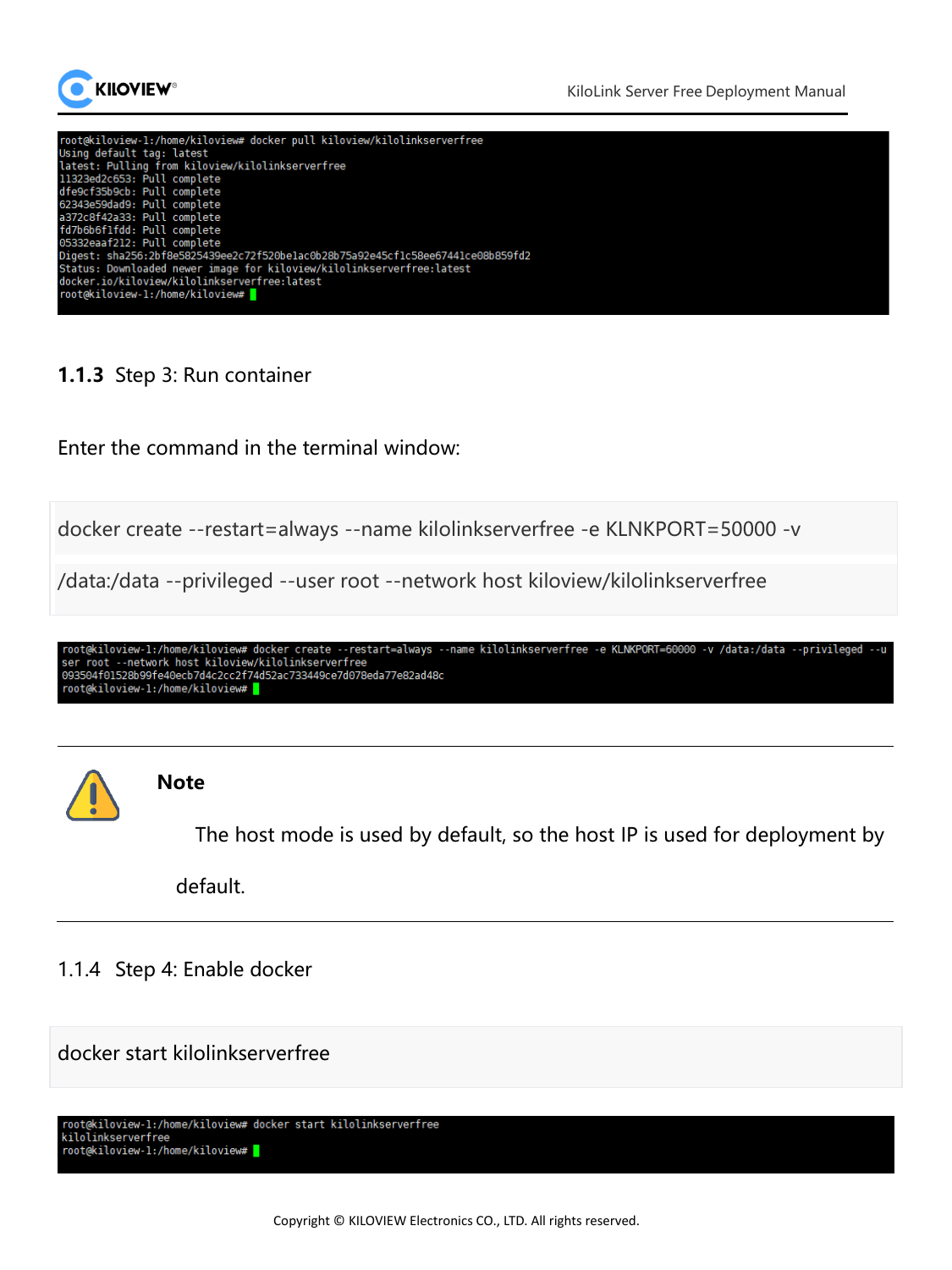



#### **1.1.3** Step 3: Run container

Enter the command in the terminal window:

docker create --restart=always --name kilolinkserverfree -e KLNKPORT=50000 -v

/data:/data --privileged --user root --network host kiloview/kilolinkserverfree

root@kiloview-1:/home/kiloview# docker create --restart=always --name kilolinkserverfree -e KLNKPORT=60000 -v /data:/data --privileged --u<br>ser root --network host kiloview/kilolinkserverfree<br>093504f01528b99fe40ecb7d4c2cc2f root@kiloview-1:/home/kiloview# <mark>|</mark>



#### **Note**

The host mode is used by default, so the host IP is used for deployment by

default.

#### 1.1.4 Step 4: Enable docker

docker start kilolinkserverfree

```
root@kiloview-1:/home/kiloview# docker start kilolinkserverfree
kilolinkserverfree
root@kiloview-1:/home/kiloview# <mark>|</mark>
```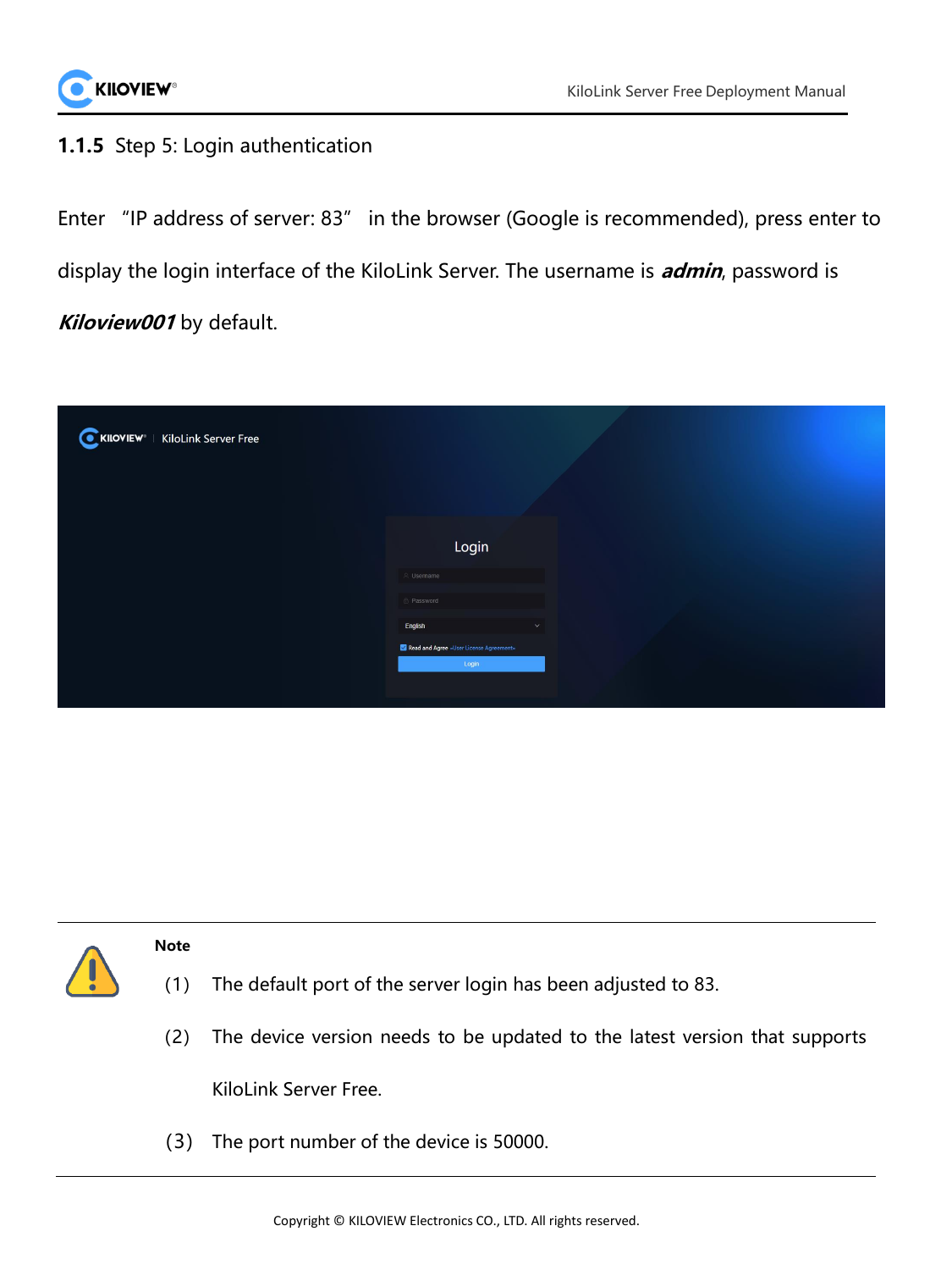

#### **1.1.5** Step 5: Login authentication

Enter "IP address of server: 83" in the browser (Google is recommended), press enter to display the login interface of the KiloLink Server. The username is **admin**, password is **Kiloview001** by default.

| KILOVIEW <sup>®</sup>   KiloLink Server Free |                                                    |
|----------------------------------------------|----------------------------------------------------|
|                                              | Login<br>& Usemame                                 |
|                                              | A Password<br>English<br>$\sim$                    |
|                                              | X Read and Agree «User License Agreement»<br>Login |



KiloLink Server Free.

(3) The port number of the device is 50000.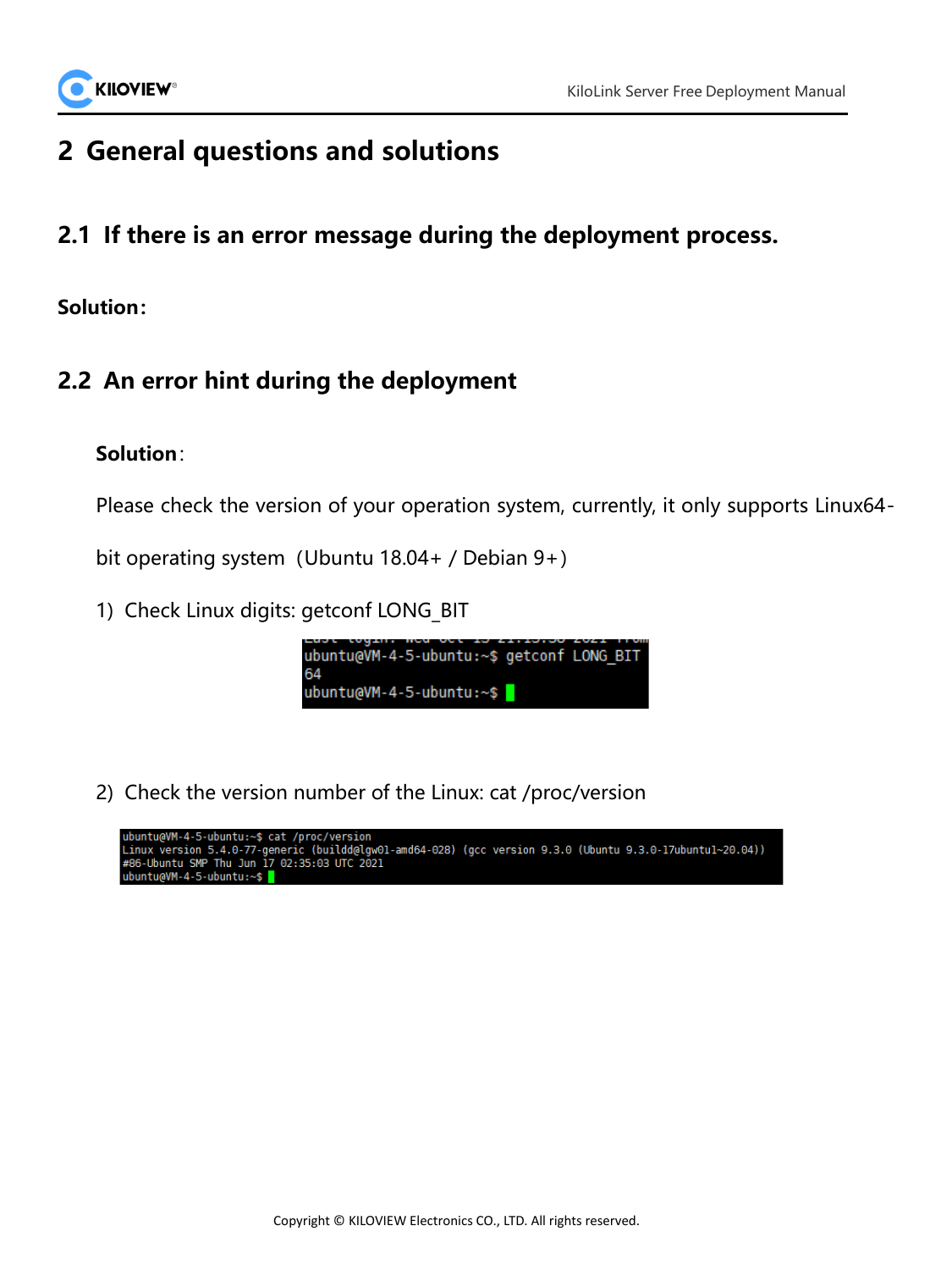

## **2 General questions and solutions**

**2.1 If there is an error message during the deployment process.**

**Solution:**

## **2.2 An error hint during the deployment**

## **Solution**:

Please check the version of your operation system, currently, it only supports Linux64-

bit operating system (Ubuntu  $18.04+$  / Debian  $9+)$ 

1) Check Linux digits: getconf LONG\_BIT

ubuntu@VM-4-5-ubuntu:~\$ getconf LONG BIT 64 ubuntu@VM-4-5-ubuntu:~\$

2) Check the version number of the Linux: cat /proc/version

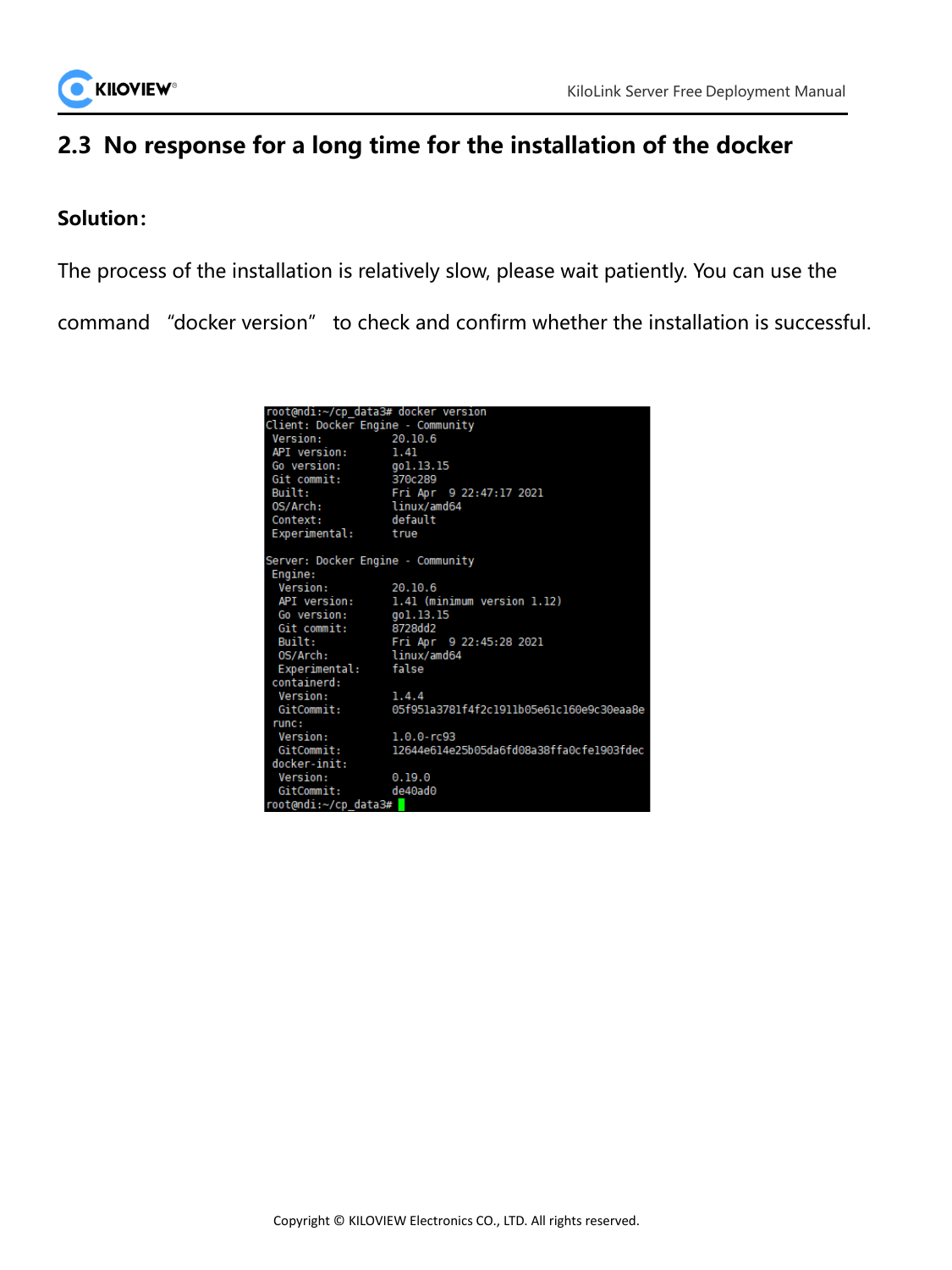

## **2.3 No response for a long time for the installation of the docker**

#### **Solution:**

The process of the installation is relatively slow, please wait patiently. You can use the

command "docker version" to check and confirm whether the installation is successful.

| root@ndi:~/cp data3# docker version |                                          |  |  |  |
|-------------------------------------|------------------------------------------|--|--|--|
| Client: Docker Engine - Community   |                                          |  |  |  |
| Version:                            | 20.10.6                                  |  |  |  |
| API version:                        | 1.41                                     |  |  |  |
| Go version: gol.13.15               |                                          |  |  |  |
| Git commit: 370c289                 |                                          |  |  |  |
| Built:                              | Fri Apr 9 22:47:17 2021                  |  |  |  |
| OS/Arch:                            | linux/amd64                              |  |  |  |
| Context:                            | default                                  |  |  |  |
| Experimental: true                  |                                          |  |  |  |
|                                     |                                          |  |  |  |
| Server: Docker Engine - Community   |                                          |  |  |  |
| Engine:                             |                                          |  |  |  |
| Version:                            | 20.10.6                                  |  |  |  |
|                                     | API version: 1.41 (minimum version 1.12) |  |  |  |
| Go version: gol.13.15               |                                          |  |  |  |
| Git commit: 8728dd2                 |                                          |  |  |  |
| Built:                              | Fri Apr 9 22:45:28 2021                  |  |  |  |
| 0S/Arch:                            | linux/amd64                              |  |  |  |
| Experimental: false                 |                                          |  |  |  |
| containerd:                         |                                          |  |  |  |
| Version:                            | 1.4.4                                    |  |  |  |
| GitCommit:                          | 05f951a3781f4f2c1911b05e61c160e9c30eaa8e |  |  |  |
| runc:                               |                                          |  |  |  |
| Version:                            | $1.0.0$ -rc $93$                         |  |  |  |
| GitCommit:                          | 12644e614e25b05da6fd08a38ffa0cfe1903fdec |  |  |  |
| docker-init:                        |                                          |  |  |  |
| Version:<br>0.19.0                  |                                          |  |  |  |
| GitCommit:                          | de40ad0                                  |  |  |  |
| root@ndi:~/cp data3#                |                                          |  |  |  |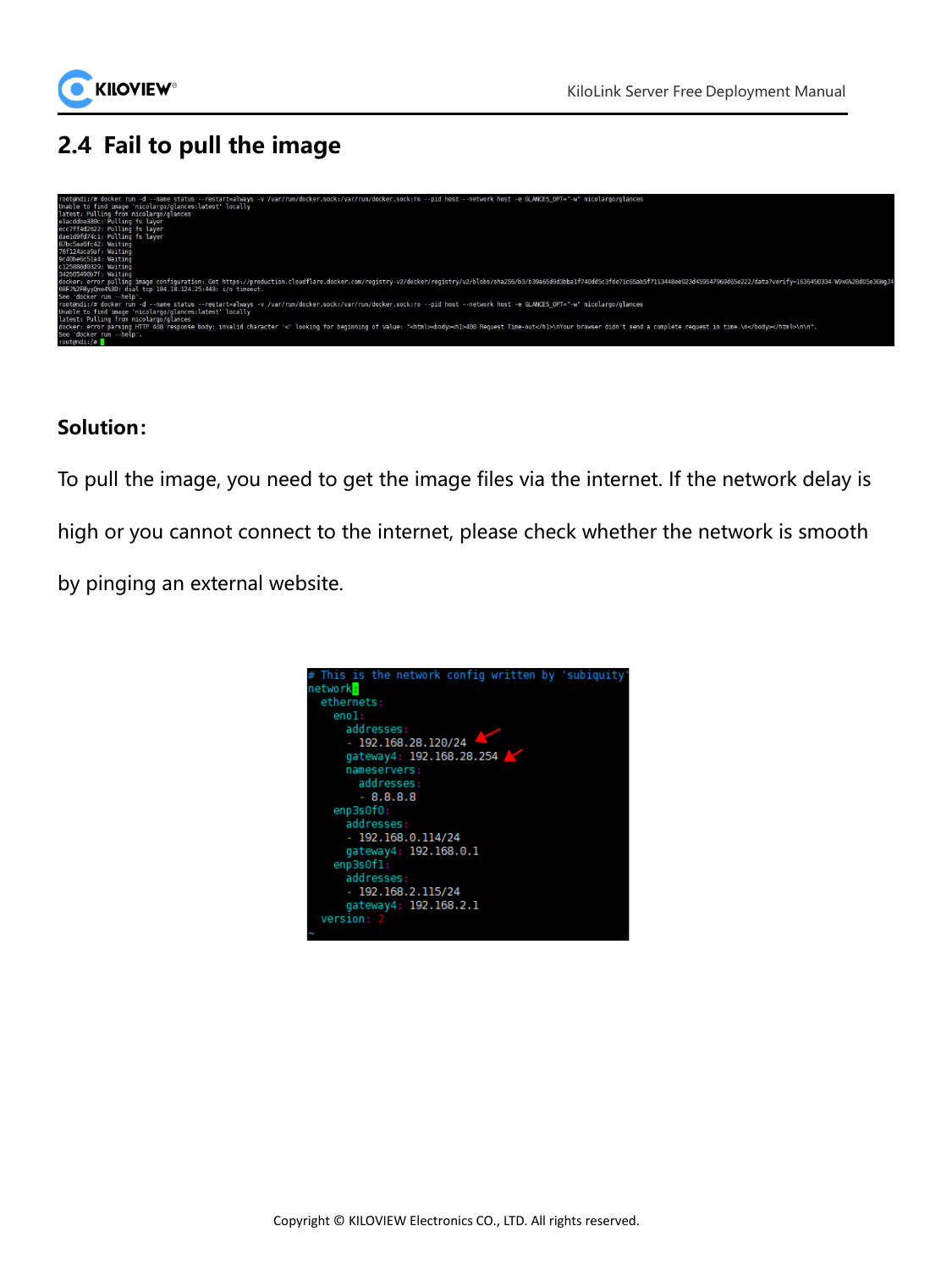

## **2.4 Fail to pull the image**



#### **Solution:**

To pull the image, you need to get the image files via the internet. If the network delay is high or you cannot connect to the internet, please check whether the network is smooth by pinging an external website.